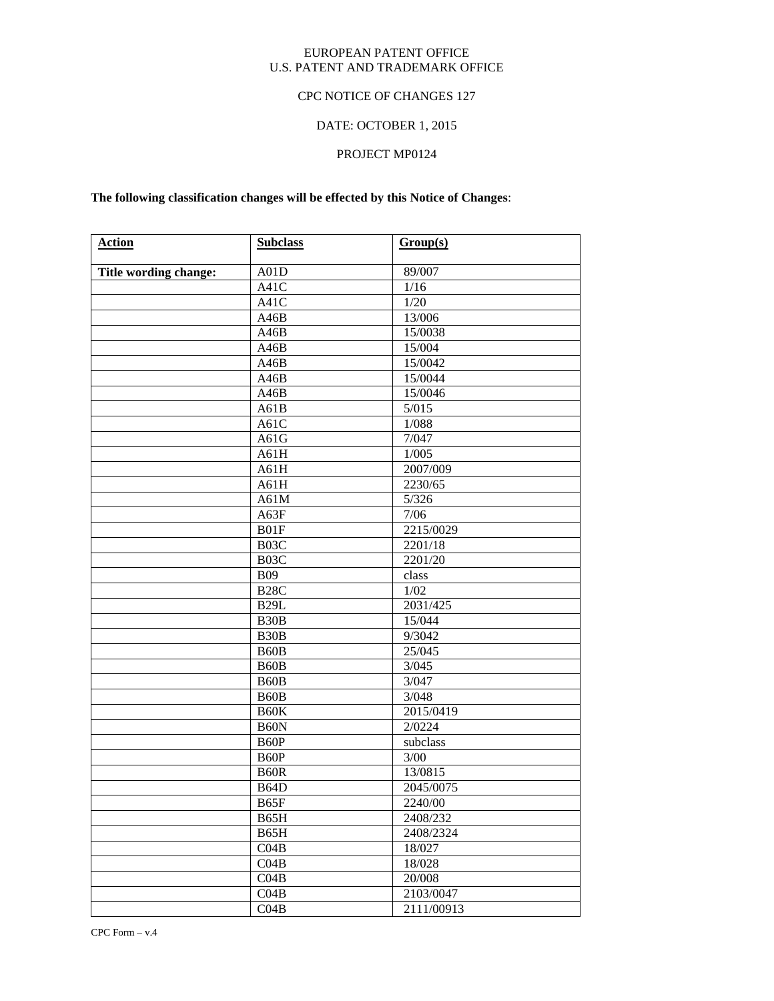## EUROPEAN PATENT OFFICE U.S. PATENT AND TRADEMARK OFFICE

## CPC NOTICE OF CHANGES 127

# DATE: OCTOBER 1, 2015

## PROJECT MP0124

# **The following classification changes will be effected by this Notice of Changes**:

| <b>Action</b>         | <b>Subclass</b>   | Group(s)   |
|-----------------------|-------------------|------------|
| Title wording change: | A01D              | 89/007     |
|                       | A41C              | 1/16       |
|                       | A41C              | 1/20       |
|                       | A46B              | 13/006     |
|                       | A46B              | 15/0038    |
|                       | A46B              | 15/004     |
|                       | A46B              | 15/0042    |
|                       | A46B              | 15/0044    |
|                       | A46B              | 15/0046    |
|                       | A61B              | 5/015      |
|                       | A61C              | 1/088      |
|                       | A61G              | 7/047      |
|                       | A61H              | 1/005      |
|                       | A61H              | 2007/009   |
|                       | A61H              | 2230/65    |
|                       | A61M              | 5/326      |
|                       | A63F              | 7/06       |
|                       | B01F              | 2215/0029  |
|                       | B <sub>03</sub> C | 2201/18    |
|                       | B03C              | 2201/20    |
|                       | <b>B09</b>        | class      |
|                       | <b>B28C</b>       | 1/02       |
|                       | <b>B29L</b>       | 2031/425   |
|                       | B <sub>30</sub> B | 15/044     |
|                       | B <sub>30</sub> B | 9/3042     |
|                       | B <sub>60</sub> B | 25/045     |
|                       | B <sub>60</sub> B | 3/045      |
|                       | B <sub>60</sub> B | 3/047      |
|                       | B <sub>60</sub> B | 3/048      |
|                       | B60K              | 2015/0419  |
|                       | B <sub>60</sub> N | 2/0224     |
|                       | B <sub>60</sub> P | subclass   |
|                       | B <sub>60</sub> P | 3/00       |
|                       | B <sub>60</sub> R | 13/0815    |
|                       | B64D              | 2045/0075  |
|                       | B65F              | 2240/00    |
|                       | B65H              | 2408/232   |
|                       | B65H              | 2408/2324  |
|                       | CO4B              | 18/027     |
|                       | CO4B              | 18/028     |
|                       | CO4B              | 20/008     |
|                       | CO4B              | 2103/0047  |
|                       | CO4B              | 2111/00913 |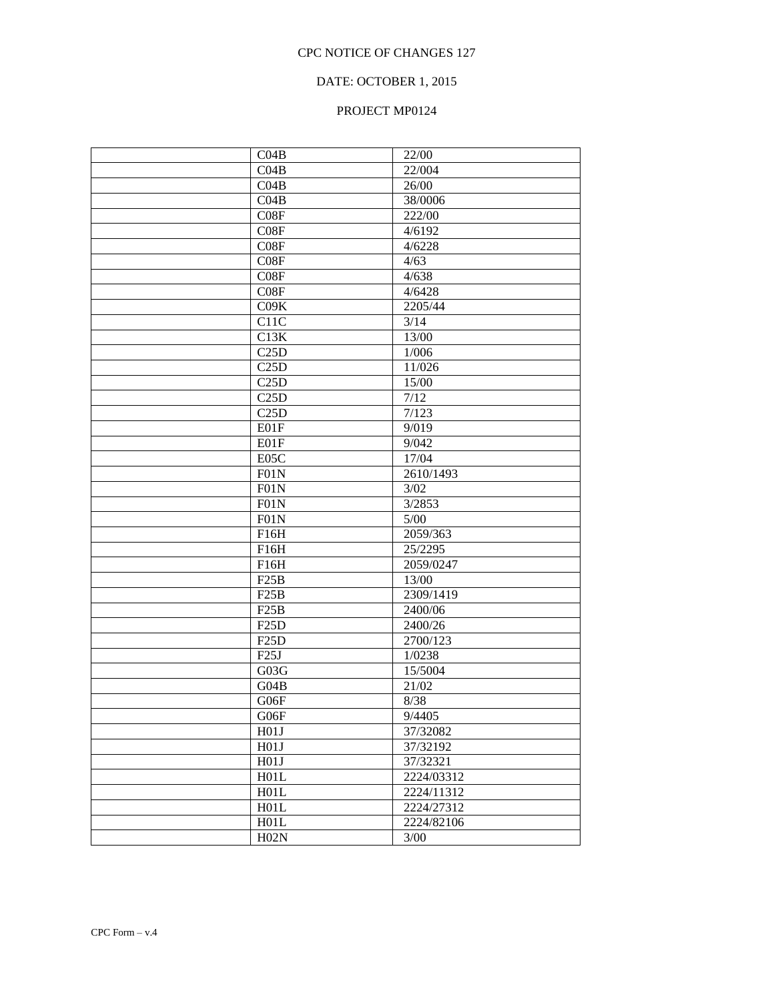## DATE: OCTOBER 1, 2015

# PROJECT MP0124

| CO4B              | 22/00      |
|-------------------|------------|
| CO4B              | 22/004     |
| CO4B              | 26/00      |
| CO4B              | 38/0006    |
| C08F              | 222/00     |
| C08F              | 4/6192     |
| C08F              | 4/6228     |
| C08F              | 4/63       |
| C08F              | 4/638      |
| C08F              | 4/6428     |
| CO9K              | 2205/44    |
| C11C              | 3/14       |
| C13K              | 13/00      |
| C25D              | 1/006      |
| C25D              | 11/026     |
| C25D              | 15/00      |
| C25D              | 7/12       |
| C25D              | 7/123      |
| E01F              | 9/019      |
| E01F              | 9/042      |
| E05C              | 17/04      |
| F01N              | 2610/1493  |
| F01N              | 3/02       |
| F01N              | 3/2853     |
| F01N              | $5/00$     |
| F16H              | 2059/363   |
| F16H              | 25/2295    |
| F16H              | 2059/0247  |
| F25B              | 13/00      |
| F25B              | 2309/1419  |
| F25B              | 2400/06    |
| F25D              | 2400/26    |
| F <sub>25</sub> D | 2700/123   |
| F25J              | 1/0238     |
| G03G              | 15/5004    |
| G04B              | 21/02      |
| G06F              | 8/38       |
|                   |            |
| G06F              | 9/4405     |
| H01J              | 37/32082   |
| H01J              | 37/32192   |
| H01J              | 37/32321   |
| H01L              | 2224/03312 |
| H01L              | 2224/11312 |
| H01L              | 2224/27312 |
| H01L              | 2224/82106 |
| H02N              | 3/00       |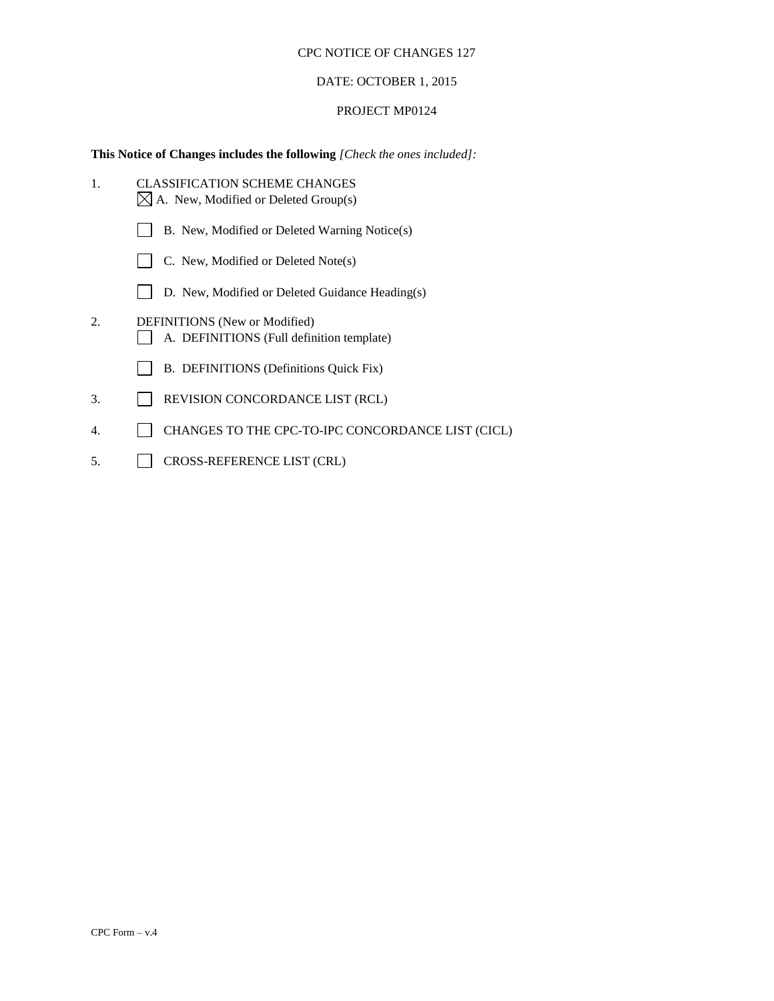## DATE: OCTOBER 1, 2015

### PROJECT MP0124

# **This Notice of Changes includes the following** *[Check the ones included]:*

| 1. | <b>CLASSIFICATION SCHEME CHANGES</b><br>$\boxtimes$ A. New, Modified or Deleted Group(s) |
|----|------------------------------------------------------------------------------------------|
|    | B. New, Modified or Deleted Warning Notice(s)                                            |
|    | C. New, Modified or Deleted Note(s)                                                      |
|    | D. New, Modified or Deleted Guidance Heading(s)                                          |
| 2. | <b>DEFINITIONS</b> (New or Modified)<br>A. DEFINITIONS (Full definition template)        |
|    | B. DEFINITIONS (Definitions Quick Fix)                                                   |
| 3. | REVISION CONCORDANCE LIST (RCL)                                                          |
| 4. | CHANGES TO THE CPC-TO-IPC CONCORDANCE LIST (CICL)                                        |
|    |                                                                                          |

5. CROSS-REFERENCE LIST (CRL)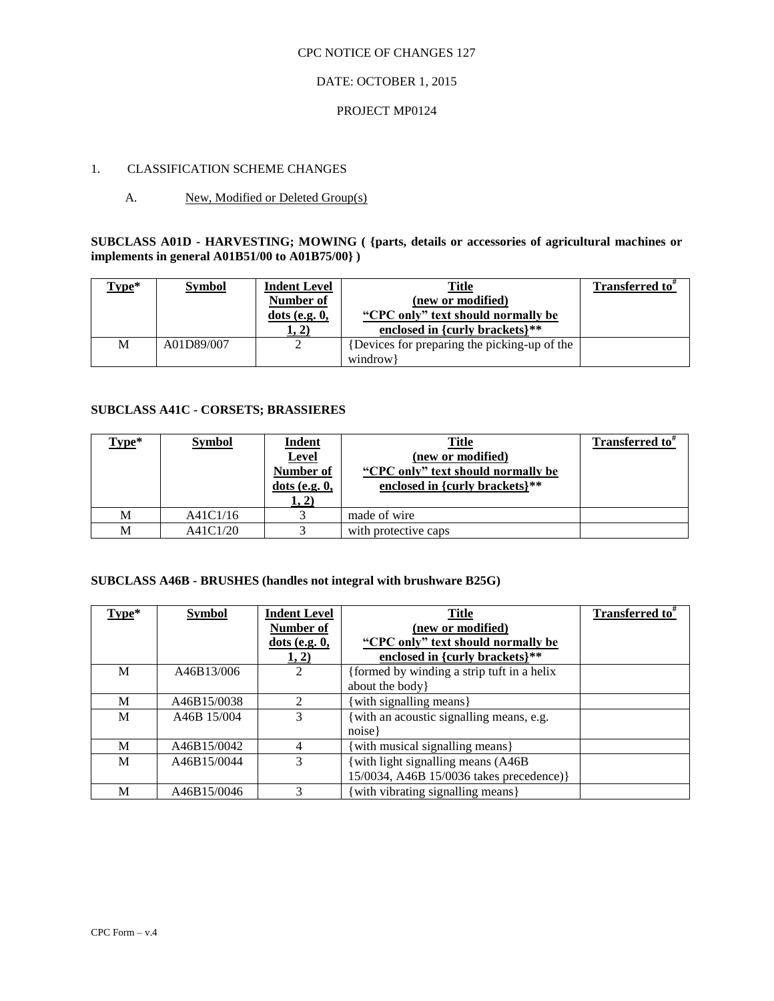## DATE: OCTOBER 1, 2015

### PROJECT MP0124

## 1. CLASSIFICATION SCHEME CHANGES

## A. New, Modified or Deleted Group(s)

**SUBCLASS A01D - HARVESTING; MOWING ( {parts, details or accessories of agricultural machines or implements in general A01B51/00 to A01B75/00} )**

| Γype* | <b>Symbol</b> | <b>Indent Level</b><br>Number of<br>$dots$ (e.g. $0$ ,<br>(1, 2) | <b>Title</b><br>(new or modified)<br>"CPC only" text should normally be<br>enclosed in {curly brackets}** | Transferred to" |
|-------|---------------|------------------------------------------------------------------|-----------------------------------------------------------------------------------------------------------|-----------------|
| M     | A01D89/007    |                                                                  | Devices for preparing the picking-up of the<br>windrow                                                    |                 |

## **SUBCLASS A41C - CORSETS; BRASSIERES**

| Type* | <b>Symbol</b> | <b>Indent</b><br>Level<br>Number of<br>$dots$ (e.g. $0$ ,<br>1, 2) | <b>Title</b><br>(new or modified)<br>"CPC only" text should normally be<br>enclosed in {curly brackets} $**$ | Transferred to <sup>#</sup> |
|-------|---------------|--------------------------------------------------------------------|--------------------------------------------------------------------------------------------------------------|-----------------------------|
| М     | A41C1/16      |                                                                    | made of wire                                                                                                 |                             |
| М     | A41C1/20      |                                                                    | with protective caps                                                                                         |                             |

## **SUBCLASS A46B - BRUSHES (handles not integral with brushware B25G)**

| Type* | <b>Symbol</b> | <b>Indent Level</b>         | <b>Title</b>                              | <b>Transferred to</b> # |
|-------|---------------|-----------------------------|-------------------------------------------|-------------------------|
|       |               | Number of                   | (new or modified)                         |                         |
|       |               | $dots$ (e.g. $0$ ,          | "CPC only" text should normally be        |                         |
|       |               | 1, 2)                       | enclosed in {curly brackets}**            |                         |
| M     | A46B13/006    |                             | formed by winding a strip tuft in a helix |                         |
|       |               |                             | about the body }                          |                         |
| M     | A46B15/0038   | $\mathcal{D}_{\mathcal{L}}$ | with signalling means}                    |                         |
| M     | A46B 15/004   |                             | with an acoustic signalling means, e.g.   |                         |
|       |               |                             | noise                                     |                         |
| M     | A46B15/0042   | 4                           | with musical signalling means}            |                         |
| M     | A46B15/0044   | 3                           | with light signalling means (A46B)        |                         |
|       |               |                             | 15/0034, A46B 15/0036 takes precedence)}  |                         |
| М     | A46B15/0046   | 3                           | with vibrating signalling means }         |                         |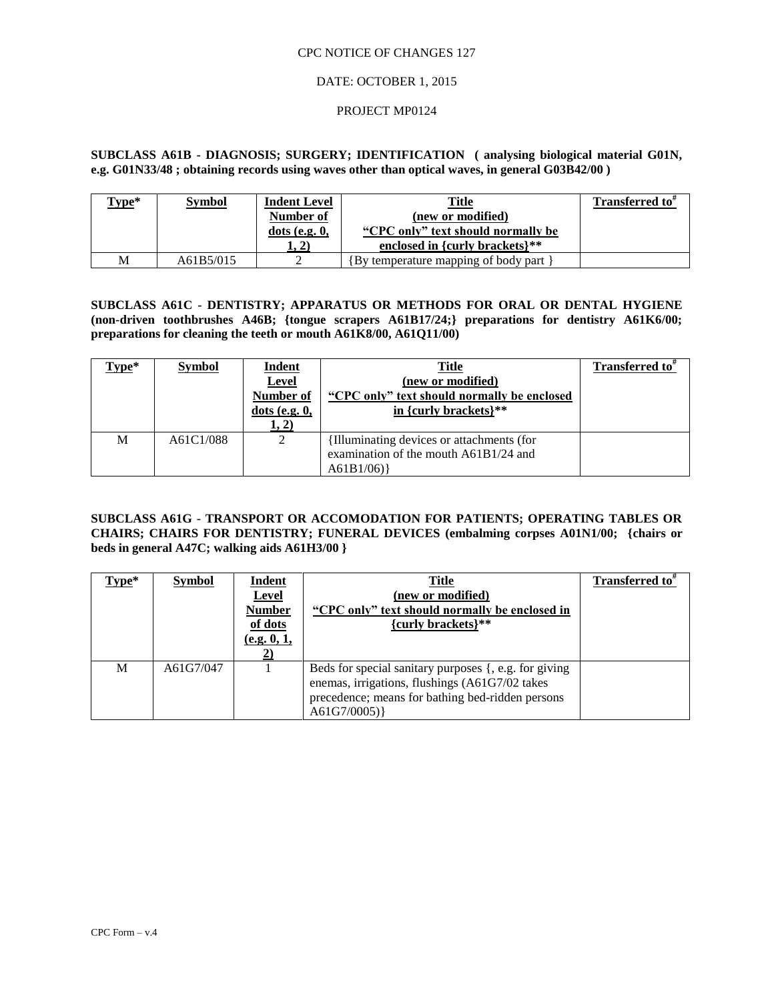### DATE: OCTOBER 1, 2015

### PROJECT MP0124

**SUBCLASS A61B - DIAGNOSIS; SURGERY; IDENTIFICATION ( analysing biological material G01N, e.g. G01N33/48 ; obtaining records using waves other than optical waves, in general G03B42/00 )**

| $Type*$ | <b>Symbol</b> | <b>Indent Level</b><br>Number of<br>$dots$ (e.g. $0$ ,<br>1, 2) | Title<br>(new or modified)<br>"CPC only" text should normally be<br>enclosed in {curly brackets} $**$ | <b>Transferred to</b> $\pi$ |
|---------|---------------|-----------------------------------------------------------------|-------------------------------------------------------------------------------------------------------|-----------------------------|
|         |               |                                                                 |                                                                                                       |                             |
| М       | A61B5/015     |                                                                 | [By temperature mapping of body part]                                                                 |                             |

**SUBCLASS A61C - DENTISTRY; APPARATUS OR METHODS FOR ORAL OR DENTAL HYGIENE (non-driven toothbrushes A46B; {tongue scrapers A61B17/24;} preparations for dentistry A61K6/00; preparations for cleaning the teeth or mouth A61K8/00, A61Q11/00)**

| Type* | <b>Symbol</b> | <b>Indent</b><br>Level<br><b>Number of</b><br>$dots$ (e.g. $0$ ,<br>1, 2) | <u>Title</u><br>(new or modified)<br>"CPC only" text should normally be enclosed<br>in {curly brackets} $**$ | <b>Transferred to</b> <sup><i>t</i></sup> |
|-------|---------------|---------------------------------------------------------------------------|--------------------------------------------------------------------------------------------------------------|-------------------------------------------|
| М     | A61C1/088     | 2                                                                         | Illuminating devices or attachments (for<br>examination of the mouth A61B1/24 and<br>A61B1/06)               |                                           |

## **SUBCLASS A61G - TRANSPORT OR ACCOMODATION FOR PATIENTS; OPERATING TABLES OR CHAIRS; CHAIRS FOR DENTISTRY; FUNERAL DEVICES (embalming corpses A01N1/00; {chairs or beds in general A47C; walking aids A61H3/00 }**

| Type* | <b>Symbol</b> | Indent<br><b>Level</b><br><b>Number</b><br>of dots<br>(e.g. 0, 1, | <b>Title</b><br>(new or modified)<br>"CPC only" text should normally be enclosed in<br>{curly brackets}**                                                                  | Transferred to <sup>#</sup> |
|-------|---------------|-------------------------------------------------------------------|----------------------------------------------------------------------------------------------------------------------------------------------------------------------------|-----------------------------|
| М     | A61G7/047     |                                                                   | Beds for special sanitary purposes {, e.g. for giving<br>enemas, irrigations, flushings (A61G7/02 takes<br>precedence; means for bathing bed-ridden persons<br>A61G7/0005) |                             |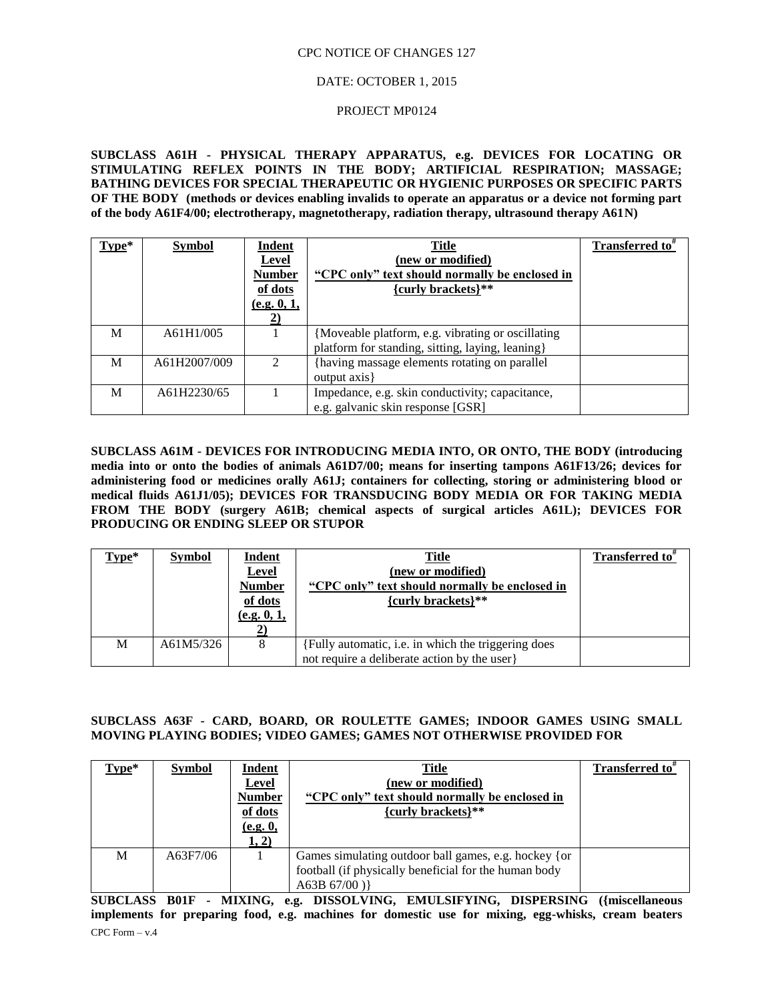### DATE: OCTOBER 1, 2015

### PROJECT MP0124

**SUBCLASS A61H - PHYSICAL THERAPY APPARATUS, e.g. DEVICES FOR LOCATING OR STIMULATING REFLEX POINTS IN THE BODY; ARTIFICIAL RESPIRATION; MASSAGE; BATHING DEVICES FOR SPECIAL THERAPEUTIC OR HYGIENIC PURPOSES OR SPECIFIC PARTS OF THE BODY (methods or devices enabling invalids to operate an apparatus or a device not forming part of the body A61F4/00; electrotherapy, magnetotherapy, radiation therapy, ultrasound therapy A61N)**

| Type* | <b>Symbol</b> | Indent<br><b>Level</b><br><b>Number</b><br>of dots<br>(e.g. 0, 1, | <b>Title</b><br>(new or modified)<br>"CPC only" text should normally be enclosed in<br>{curly brackets}** | Transferred to <sup>*</sup> |
|-------|---------------|-------------------------------------------------------------------|-----------------------------------------------------------------------------------------------------------|-----------------------------|
| M     | A61H1/005     |                                                                   | {Moveable platform, e.g. vibrating or oscillating<br>platform for standing, sitting, laying, leaning }    |                             |
| M     | A61H2007/009  |                                                                   | having massage elements rotating on parallel<br>output axis }                                             |                             |
| M     | A61H2230/65   |                                                                   | Impedance, e.g. skin conductivity; capacitance,<br>e.g. galvanic skin response [GSR]                      |                             |

**SUBCLASS A61M - DEVICES FOR INTRODUCING MEDIA INTO, OR ONTO, THE BODY (introducing media into or onto the bodies of animals A61D7/00; means for inserting tampons A61F13/26; devices for administering food or medicines orally A61J; containers for collecting, storing or administering blood or medical fluids A61J1/05); DEVICES FOR TRANSDUCING BODY MEDIA OR FOR TAKING MEDIA FROM THE BODY (surgery A61B; chemical aspects of surgical articles A61L); DEVICES FOR PRODUCING OR ENDING SLEEP OR STUPOR**

| Type* | <b>Symbol</b> | <b>Indent</b><br><b>Level</b><br><b>Number</b><br>of dots<br>(e.g. 0, 1, | Title<br>(new or modified)<br>"CPC only" text should normally be enclosed in<br>{curly brackets}** | Transferred to" |
|-------|---------------|--------------------------------------------------------------------------|----------------------------------------------------------------------------------------------------|-----------------|
| M     | A61M5/326     |                                                                          | {Fully automatic, i.e. in which the triggering does<br>not require a deliberate action by the user |                 |

## **SUBCLASS A63F - CARD, BOARD, OR ROULETTE GAMES; INDOOR GAMES USING SMALL MOVING PLAYING BODIES; VIDEO GAMES; GAMES NOT OTHERWISE PROVIDED FOR**

| Type* | <b>Symbol</b> | Indent<br>Level<br><b>Number</b><br>of dots<br>(e.g. 0,<br>1, 2) | <b>Title</b><br>(new or modified)<br>"CPC only" text should normally be enclosed in<br>{curly brackets}**                        | Transferred to <sup>#</sup> |
|-------|---------------|------------------------------------------------------------------|----------------------------------------------------------------------------------------------------------------------------------|-----------------------------|
| M     | A63F7/06      |                                                                  | Games simulating outdoor ball games, e.g. hockey {or<br>football (if physically beneficial for the human body<br>A63B $67/00$ )} |                             |

CPC Form – v.4 **SUBCLASS B01F - MIXING, e.g. DISSOLVING, EMULSIFYING, DISPERSING ({miscellaneous implements for preparing food, e.g. machines for domestic use for mixing, egg-whisks, cream beaters**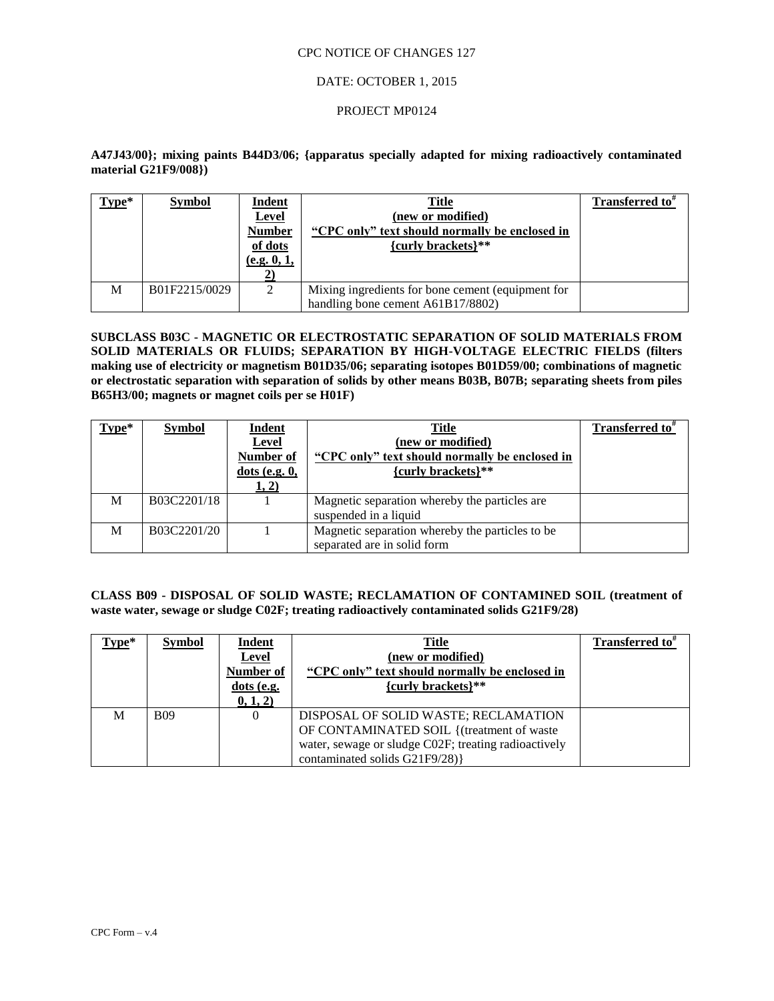### DATE: OCTOBER 1, 2015

### PROJECT MP0124

## **A47J43/00}; mixing paints B44D3/06; {apparatus specially adapted for mixing radioactively contaminated material G21F9/008})**

| $Type*$ | <b>Symbol</b> | Indent<br><b>Level</b><br><b>Number</b><br>of dots<br>(e.g. 0, 1, | <b>Title</b><br>(new or modified)<br>"CPC only" text should normally be enclosed in<br>${curly$ brackets}** | Transferred to <sup>#</sup> |
|---------|---------------|-------------------------------------------------------------------|-------------------------------------------------------------------------------------------------------------|-----------------------------|
| M       | B01F2215/0029 | 2                                                                 | Mixing ingredients for bone cement (equipment for<br>handling bone cement A61B17/8802)                      |                             |

## **SUBCLASS B03C - MAGNETIC OR ELECTROSTATIC SEPARATION OF SOLID MATERIALS FROM SOLID MATERIALS OR FLUIDS; SEPARATION BY HIGH-VOLTAGE ELECTRIC FIELDS (filters making use of electricity or magnetism B01D35/06; separating isotopes B01D59/00; combinations of magnetic or electrostatic separation with separation of solids by other means B03B, B07B; separating sheets from piles**  B65H3/00; magnets or magnet coils per se H01F)

| $Type*$ | <b>Symbol</b> | Indent             | Title                                            | Transferred to <sup>#</sup> |
|---------|---------------|--------------------|--------------------------------------------------|-----------------------------|
|         |               | Level              | (new or modified)                                |                             |
|         |               | Number of          | "CPC only" text should normally be enclosed in   |                             |
|         |               | $dots$ (e.g. $0$ , | {curly brackets}**                               |                             |
|         |               | 1, 2)              |                                                  |                             |
| M       | B03C2201/18   |                    | Magnetic separation whereby the particles are.   |                             |
|         |               |                    | suspended in a liquid                            |                             |
| M       | B03C2201/20   |                    | Magnetic separation whereby the particles to be. |                             |
|         |               |                    | separated are in solid form                      |                             |

## **CLASS B09 - DISPOSAL OF SOLID WASTE; RECLAMATION OF CONTAMINED SOIL (treatment of waste water, sewage or sludge C02F; treating radioactively contaminated solids G21F9/28)**

| $Type*$ | <b>Symbol</b> | <b>Indent</b><br>Level<br>Number of<br>$dots$ (e.g.<br>0, 1, 2) | <b>Title</b><br>(new or modified)<br>"CPC only" text should normally be enclosed in<br>{curly brackets}**                                                                    | Transferred to <sup>*</sup> |
|---------|---------------|-----------------------------------------------------------------|------------------------------------------------------------------------------------------------------------------------------------------------------------------------------|-----------------------------|
| M       | <b>B09</b>    | $\theta$                                                        | DISPOSAL OF SOLID WASTE; RECLAMATION<br>OF CONTAMINATED SOIL { (treatment of waste<br>water, sewage or sludge C02F; treating radioactively<br>contaminated solids G21F9/28)} |                             |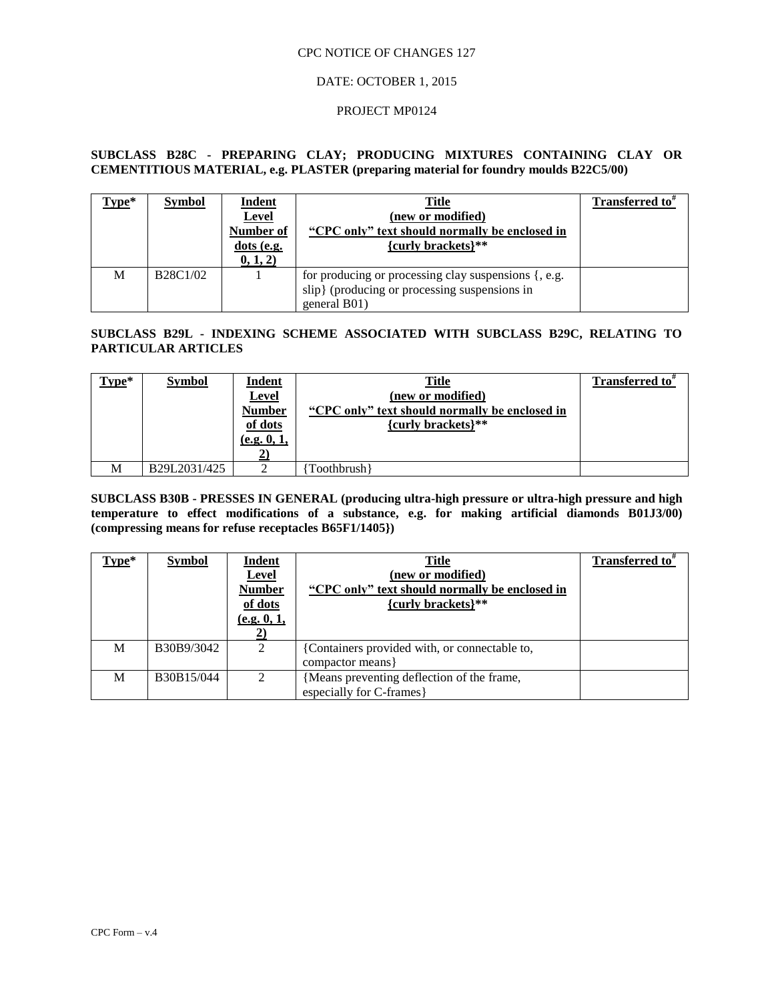## DATE: OCTOBER 1, 2015

### PROJECT MP0124

## **SUBCLASS B28C - PREPARING CLAY; PRODUCING MIXTURES CONTAINING CLAY OR CEMENTITIOUS MATERIAL, e.g. PLASTER (preparing material for foundry moulds B22C5/00)**

| Type* | <b>Symbol</b>                                  | Indent<br>Level<br>Number of<br>$dots$ (e.g.<br>0, 1, 2) | <b>Title</b><br>(new or modified)<br>"CPC only" text should normally be enclosed in<br>${curly$ brackets $}$ **       | <b>Transferred to</b> <sup>#</sup> |
|-------|------------------------------------------------|----------------------------------------------------------|-----------------------------------------------------------------------------------------------------------------------|------------------------------------|
| М     | B <sub>28</sub> C <sub>1</sub> /0 <sub>2</sub> |                                                          | for producing or processing clay suspensions {, e.g.<br>slip} (producing or processing suspensions in<br>general B01) |                                    |

## **SUBCLASS B29L - INDEXING SCHEME ASSOCIATED WITH SUBCLASS B29C, RELATING TO PARTICULAR ARTICLES**

| $Type*$ | <b>Symbol</b> | <u>Indent</u><br><b>Level</b><br><b>Number</b><br>of dots<br>(e.g. 0, 1, | Title<br>(new or modified)<br>"CPC only" text should normally be enclosed in<br>{curly brackets}** | Transferred to <sup><math>#</math></sup> |
|---------|---------------|--------------------------------------------------------------------------|----------------------------------------------------------------------------------------------------|------------------------------------------|
| M       | B29L2031/425  |                                                                          | Toothbrush }                                                                                       |                                          |

**SUBCLASS B30B - PRESSES IN GENERAL (producing ultra-high pressure or ultra-high pressure and high temperature to effect modifications of a substance, e.g. for making artificial diamonds B01J3/00) (compressing means for refuse receptacles B65F1/1405})**

| $Type*$ | <b>Symbol</b> | Indent<br><b>Level</b><br><b>Number</b><br>of dots<br>(e.g. 0, 1, | Title<br>(new or modified)<br>"CPC only" text should normally be enclosed in<br>{curly brackets}** | <b>Transferred to</b> " |
|---------|---------------|-------------------------------------------------------------------|----------------------------------------------------------------------------------------------------|-------------------------|
| M       | B30B9/3042    | $\mathfrak{D}$                                                    | {Containers provided with, or connectable to,<br>compactor means                                   |                         |
| M       | B30B15/044    | $\mathfrak{D}$                                                    | {Means preventing deflection of the frame,<br>especially for C-frames }                            |                         |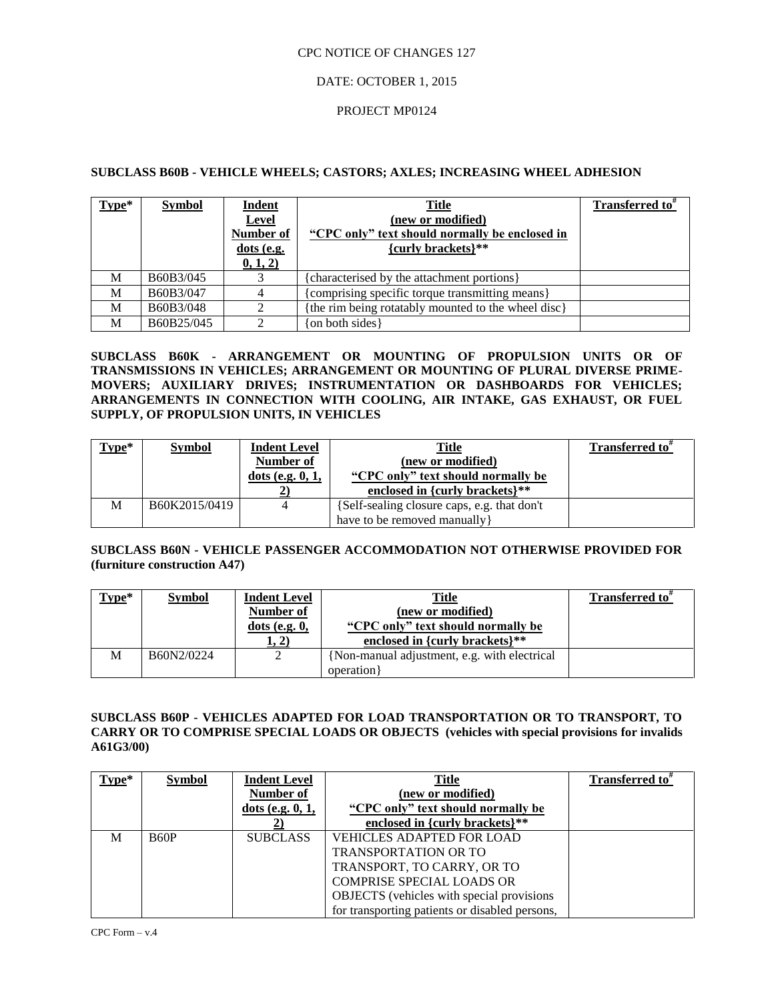## DATE: OCTOBER 1, 2015

### PROJECT MP0124

## **SUBCLASS B60B - VEHICLE WHEELS; CASTORS; AXLES; INCREASING WHEEL ADHESION**

| $Type*$ | <b>Symbol</b> | <b>Indent</b><br><b>Level</b><br><b>Number of</b><br>$dots$ (e.g.<br>0, 1, 2) | <b>Title</b><br>(new or modified)<br>"CPC only" text should normally be enclosed in<br>{curly brackets}** | Transferred to <sup>#</sup> |
|---------|---------------|-------------------------------------------------------------------------------|-----------------------------------------------------------------------------------------------------------|-----------------------------|
| M       | B60B3/045     |                                                                               | {characterised by the attachment portions}                                                                |                             |
| M       | B60B3/047     |                                                                               | {comprising specific torque transmitting means}                                                           |                             |
| M       | B60B3/048     |                                                                               | {the rim being rotatably mounted to the wheel disc}                                                       |                             |
| M       | B60B25/045    |                                                                               | {on both sides}                                                                                           |                             |

**SUBCLASS B60K - ARRANGEMENT OR MOUNTING OF PROPULSION UNITS OR OF TRANSMISSIONS IN VEHICLES; ARRANGEMENT OR MOUNTING OF PLURAL DIVERSE PRIME-MOVERS; AUXILIARY DRIVES; INSTRUMENTATION OR DASHBOARDS FOR VEHICLES; ARRANGEMENTS IN CONNECTION WITH COOLING, AIR INTAKE, GAS EXHAUST, OR FUEL SUPPLY, OF PROPULSION UNITS, IN VEHICLES**

| $Type*$ | <b>Symbol</b> | <b>Indent Level</b> | <b>Title</b>                                | Transferred to <sup>*</sup> |
|---------|---------------|---------------------|---------------------------------------------|-----------------------------|
|         |               | Number of           | (new or modified)                           |                             |
|         |               | dots (e.g. $0, 1$ , | "CPC only" text should normally be          |                             |
|         |               |                     | enclosed in {curly brackets}**              |                             |
| M       | B60K2015/0419 |                     | {Self-sealing closure caps, e.g. that don't |                             |
|         |               |                     | have to be removed manually }               |                             |

## **SUBCLASS B60N - VEHICLE PASSENGER ACCOMMODATION NOT OTHERWISE PROVIDED FOR (furniture construction A47)**

| $Type*$ | <b>Symbol</b> | <b>Indent Level</b> | <b>Title</b>                                 | <b>Transferred to</b> " |
|---------|---------------|---------------------|----------------------------------------------|-------------------------|
|         |               | Number of           | (new or modified)                            |                         |
|         |               | $dots$ (e.g. $0$ ,  | "CPC only" text should normally be           |                         |
|         |               | 1, 2)               | enclosed in {curly brackets}**               |                         |
| M       | B60N2/0224    |                     | {Non-manual adjustment, e.g. with electrical |                         |
|         |               |                     | operation }                                  |                         |

## **SUBCLASS B60P - VEHICLES ADAPTED FOR LOAD TRANSPORTATION OR TO TRANSPORT, TO CARRY OR TO COMPRISE SPECIAL LOADS OR OBJECTS (vehicles with special provisions for invalids A61G3/00)**

| $Type*$ | <b>Symbol</b> | <b>Indent Level</b> | Title                                             | <b>Transferred to</b> <sup>*</sup> |
|---------|---------------|---------------------|---------------------------------------------------|------------------------------------|
|         |               | Number of           | (new or modified)                                 |                                    |
|         |               | dots (e.g. $0, 1$ , | "CPC only" text should normally be                |                                    |
|         |               |                     | enclosed in {curly brackets}**                    |                                    |
| M       | <b>B60P</b>   | <b>SUBCLASS</b>     | <b>VEHICLES ADAPTED FOR LOAD</b>                  |                                    |
|         |               |                     | <b>TRANSPORTATION OR TO</b>                       |                                    |
|         |               |                     | TRANSPORT, TO CARRY, OR TO                        |                                    |
|         |               |                     | <b>COMPRISE SPECIAL LOADS OR</b>                  |                                    |
|         |               |                     | <b>OBJECTS</b> (vehicles with special provisions) |                                    |
|         |               |                     | for transporting patients or disabled persons,    |                                    |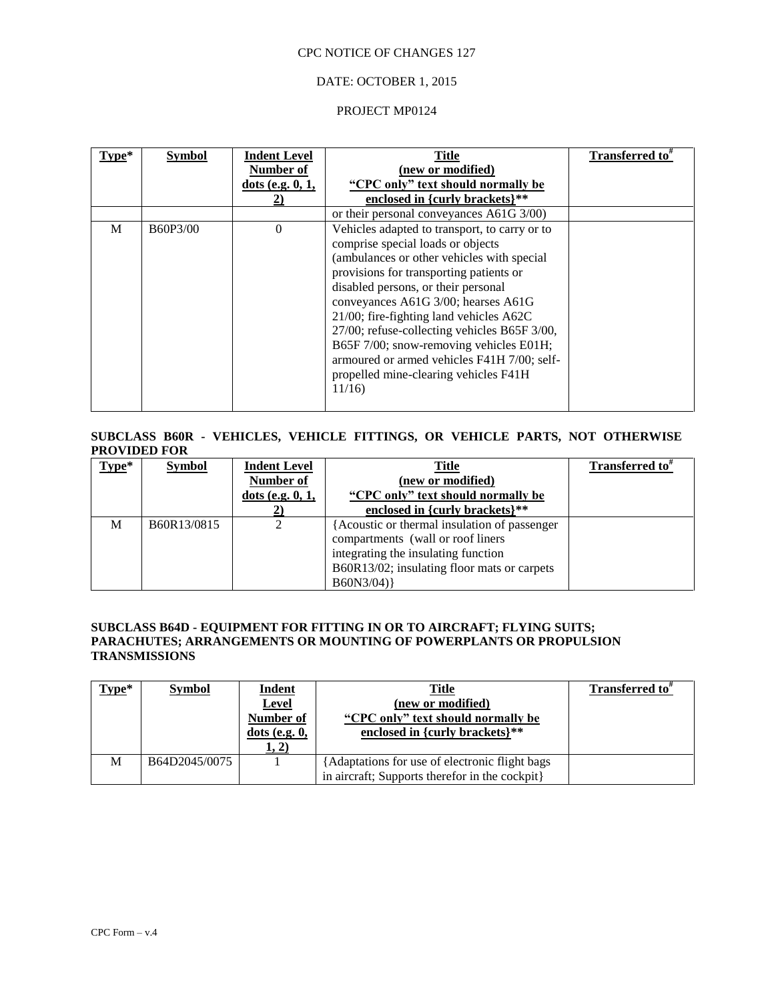## DATE: OCTOBER 1, 2015

### PROJECT MP0124

| Tvpe* | <b>Symbol</b> | <b>Indent Level</b><br>Number of<br>dots (e.g. $0, 1$ , | <b>Title</b><br>(new or modified)<br>"CPC only" text should normally be<br>enclosed in {curly brackets}**                                                                                                                                                                                                                                                                                        | Transferred to" |
|-------|---------------|---------------------------------------------------------|--------------------------------------------------------------------------------------------------------------------------------------------------------------------------------------------------------------------------------------------------------------------------------------------------------------------------------------------------------------------------------------------------|-----------------|
| M     | B60P3/00      | $\Omega$                                                | or their personal conveyances A61G 3/00)<br>Vehicles adapted to transport, to carry or to<br>comprise special loads or objects<br>(ambulances or other vehicles with special<br>provisions for transporting patients or<br>disabled persons, or their personal<br>conveyances A61G 3/00; hearses A61G<br>21/00; fire-fighting land vehicles A62C<br>27/00; refuse-collecting vehicles B65F 3/00, |                 |
|       |               |                                                         | B65F 7/00; snow-removing vehicles E01H;<br>armoured or armed vehicles F41H 7/00; self-<br>propelled mine-clearing vehicles F41H<br>11/16                                                                                                                                                                                                                                                         |                 |

## **SUBCLASS B60R - VEHICLES, VEHICLE FITTINGS, OR VEHICLE PARTS, NOT OTHERWISE PROVIDED FOR**

| $Type*$ | <b>Symbol</b> | <b>Indent Level</b> | Title                                        | Transferred to" |
|---------|---------------|---------------------|----------------------------------------------|-----------------|
|         |               | Number of           | (new or modified)                            |                 |
|         |               | dots (e.g. $0, 1$ , | "CPC only" text should normally be           |                 |
|         |               |                     | enclosed in {curly brackets}**               |                 |
| M       | B60R13/0815   |                     | {Acoustic or thermal insulation of passenger |                 |
|         |               |                     | compartments (wall or roof liners)           |                 |
|         |               |                     | integrating the insulating function          |                 |
|         |               |                     | B60R13/02; insulating floor mats or carpets  |                 |
|         |               |                     | B60N3/04)                                    |                 |

## **SUBCLASS B64D - EQUIPMENT FOR FITTING IN OR TO AIRCRAFT; FLYING SUITS; PARACHUTES; ARRANGEMENTS OR MOUNTING OF POWERPLANTS OR PROPULSION TRANSMISSIONS**

| $Type*$ | <b>Symbol</b> | <b>Indent</b><br>Level<br>Number of<br>$dots$ (e.g. $0$ ,<br><u>1, 2)</u> | <b>Title</b><br>(new or modified)<br>"CPC only" text should normally be<br>enclosed in {curly brackets}** | Transferred to <sup>#</sup> |
|---------|---------------|---------------------------------------------------------------------------|-----------------------------------------------------------------------------------------------------------|-----------------------------|
| M       | B64D2045/0075 |                                                                           | {Adaptations for use of electronic flight bags<br>in aircraft; Supports therefor in the cockpit}          |                             |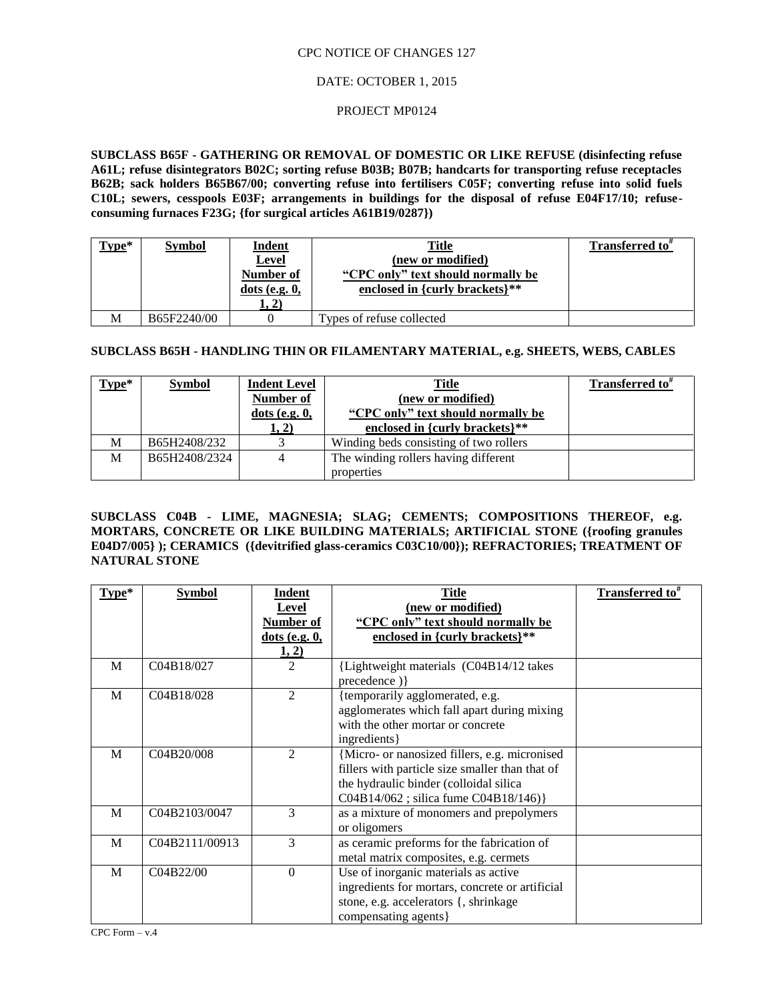## DATE: OCTOBER 1, 2015

#### PROJECT MP0124

**SUBCLASS B65F - GATHERING OR REMOVAL OF DOMESTIC OR LIKE REFUSE (disinfecting refuse A61L; refuse disintegrators B02C; sorting refuse B03B; B07B; handcarts for transporting refuse receptacles B62B; sack holders B65B67/00; converting refuse into fertilisers C05F; converting refuse into solid fuels C10L; sewers, cesspools E03F; arrangements in buildings for the disposal of refuse E04F17/10; refuseconsuming furnaces F23G; {for surgical articles A61B19/0287})**

| $Type*$ | <b>Symbol</b> | <b>Indent</b><br><b>Level</b><br>Number of<br>$dots$ (e.g. $0$ ,<br>1, 2) | Title<br>(new or modified)<br>"CPC only" text should normally be<br>enclosed in {curly brackets}** | Transferred to" |
|---------|---------------|---------------------------------------------------------------------------|----------------------------------------------------------------------------------------------------|-----------------|
| M       | B65F2240/00   |                                                                           | Types of refuse collected                                                                          |                 |

## **SUBCLASS B65H - HANDLING THIN OR FILAMENTARY MATERIAL, e.g. SHEETS, WEBS, CABLES**

| $Type*$ | <b>Symbol</b> | <b>Indent Level</b> | <b>Title</b>                           | Transferred to <sup>#</sup> |
|---------|---------------|---------------------|----------------------------------------|-----------------------------|
|         |               | <b>Number of</b>    | (new or modified)                      |                             |
|         |               | $dots$ (e.g. $0$ ,  | "CPC only" text should normally be     |                             |
|         |               | 1, 2)               | enclosed in {curly brackets}**         |                             |
| M       | B65H2408/232  |                     | Winding beds consisting of two rollers |                             |
| M       | B65H2408/2324 | 4                   | The winding rollers having different   |                             |
|         |               |                     | properties                             |                             |

**SUBCLASS C04B - LIME, MAGNESIA; SLAG; CEMENTS; COMPOSITIONS THEREOF, e.g. MORTARS, CONCRETE OR LIKE BUILDING MATERIALS; ARTIFICIAL STONE ({roofing granules E04D7/005} ); CERAMICS ({devitrified glass-ceramics C03C10/00}); REFRACTORIES; TREATMENT OF NATURAL STONE**

| Type* | Symbol         | Indent               | <b>Title</b>                                    | Transferred to <sup>#</sup> |
|-------|----------------|----------------------|-------------------------------------------------|-----------------------------|
|       |                | <b>Level</b>         | (new or modified)                               |                             |
|       |                | Number of            | "CPC only" text should normally be              |                             |
|       |                | <u>dots (e.g. 0,</u> | enclosed in {curly brackets}**                  |                             |
|       |                | 1, 2)                |                                                 |                             |
| M     | C04B18/027     | 2                    | {Lightweight materials (C04B14/12 takes         |                             |
|       |                |                      | precedence) }                                   |                             |
| M     | C04B18/028     | $\mathfrak{D}$       | {temporarily agglomerated, e.g.                 |                             |
|       |                |                      | agglomerates which fall apart during mixing     |                             |
|       |                |                      | with the other mortar or concrete               |                             |
|       |                |                      | ingredients }                                   |                             |
| M     | C04B20/008     | $\mathfrak{D}$       | {Micro- or nanosized fillers, e.g. micronised   |                             |
|       |                |                      | fillers with particle size smaller than that of |                             |
|       |                |                      | the hydraulic binder (colloidal silica          |                             |
|       |                |                      | C04B14/062; silica fume C04B18/146)}            |                             |
| M     | C04B2103/0047  | 3                    | as a mixture of monomers and prepolymers        |                             |
|       |                |                      | or oligomers                                    |                             |
| M     | C04B2111/00913 | 3                    | as ceramic preforms for the fabrication of      |                             |
|       |                |                      | metal matrix composites, e.g. cermets           |                             |
| M     | C04B22/00      | $\boldsymbol{0}$     | Use of inorganic materials as active            |                             |
|       |                |                      | ingredients for mortars, concrete or artificial |                             |
|       |                |                      | stone, e.g. accelerators {, shrinkage           |                             |
|       |                |                      | compensating agents }                           |                             |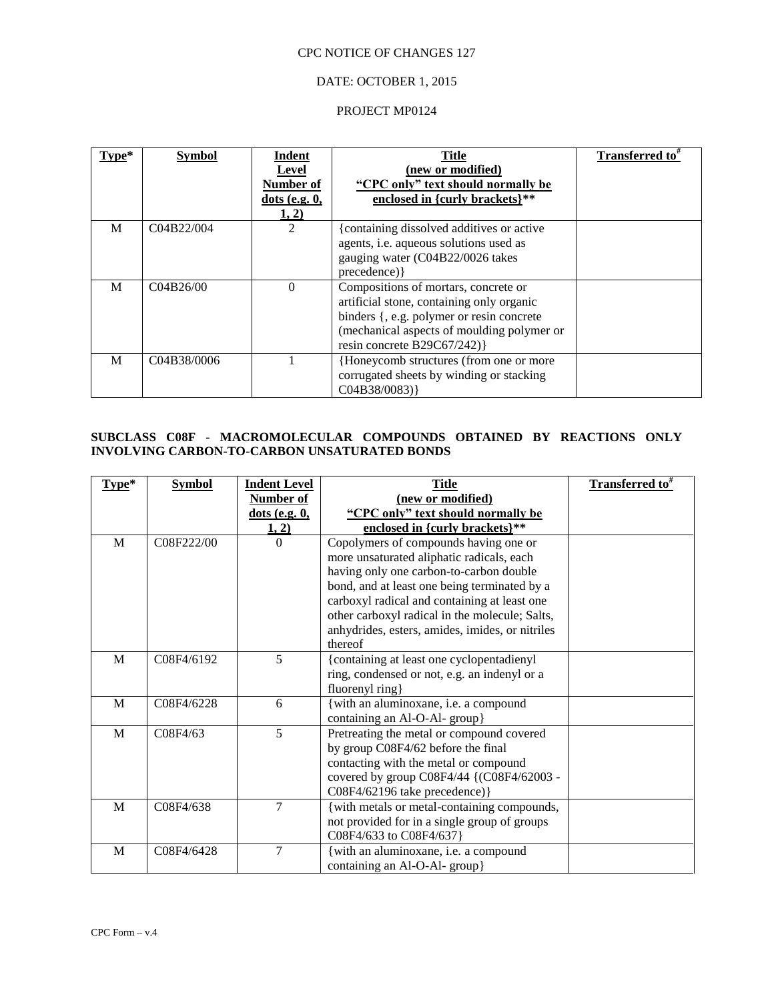## DATE: OCTOBER 1, 2015

#### PROJECT MP0124

| Type* | <b>Symbol</b> | Indent<br>Level<br>Number of<br>dot (e.g. 0,<br>1, 2) | <b>Title</b><br>(new or modified)<br>"CPC only" text should normally be<br>enclosed in {curly brackets}**                                                                                                   | <b>Transferred to</b> <sup>#</sup> |
|-------|---------------|-------------------------------------------------------|-------------------------------------------------------------------------------------------------------------------------------------------------------------------------------------------------------------|------------------------------------|
| M     | C04B22/004    | 2                                                     | {containing dissolved additives or active<br>agents, i.e. aqueous solutions used as<br>gauging water (C04B22/0026 takes<br>precedence) }                                                                    |                                    |
| M     | C04B26/00     | $\Omega$                                              | Compositions of mortars, concrete or<br>artificial stone, containing only organic<br>binders {, e.g. polymer or resin concrete<br>(mechanical aspects of moulding polymer or<br>resin concrete B29C67/242)} |                                    |
| M     | C04B38/0006   |                                                       | {Honeycomb structures (from one or more<br>corrugated sheets by winding or stacking<br>CO4B38/0083)                                                                                                         |                                    |

## **SUBCLASS C08F - MACROMOLECULAR COMPOUNDS OBTAINED BY REACTIONS ONLY INVOLVING CARBON-TO-CARBON UNSATURATED BONDS**

| $Type*$ | <b>Symbol</b> | <b>Indent Level</b> | <b>Title</b>                                    | <b>Transferred</b> to <sup>#</sup> |
|---------|---------------|---------------------|-------------------------------------------------|------------------------------------|
|         |               | Number of           | (new or modified)                               |                                    |
|         |               | $dots$ (e.g. $0$ ,  | "CPC only" text should normally be              |                                    |
|         |               | 1, 2)               | enclosed in {curly brackets}**                  |                                    |
| M       | C08F222/00    | $\Omega$            | Copolymers of compounds having one or           |                                    |
|         |               |                     | more unsaturated aliphatic radicals, each       |                                    |
|         |               |                     | having only one carbon-to-carbon double         |                                    |
|         |               |                     | bond, and at least one being terminated by a    |                                    |
|         |               |                     | carboxyl radical and containing at least one    |                                    |
|         |               |                     | other carboxyl radical in the molecule; Salts,  |                                    |
|         |               |                     | anhydrides, esters, amides, imides, or nitriles |                                    |
|         |               |                     | thereof                                         |                                    |
| M       | C08F4/6192    | 5                   | {containing at least one cyclopentadienyl       |                                    |
|         |               |                     | ring, condensed or not, e.g. an indenyl or a    |                                    |
|         |               |                     | fluorenyl ring}                                 |                                    |
| M       | C08F4/6228    | 6                   | {with an aluminoxane, i.e. a compound           |                                    |
|         |               |                     | containing an Al-O-Al- group}                   |                                    |
| M       | C08F4/63      | 5                   | Pretreating the metal or compound covered       |                                    |
|         |               |                     | by group C08F4/62 before the final              |                                    |
|         |               |                     | contacting with the metal or compound           |                                    |
|         |               |                     | covered by group C08F4/44 {(C08F4/62003 -       |                                    |
|         |               |                     | C08F4/62196 take precedence) }                  |                                    |
| M       | C08F4/638     | 7                   | {with metals or metal-containing compounds,     |                                    |
|         |               |                     | not provided for in a single group of groups    |                                    |
|         |               |                     | C08F4/633 to C08F4/637}                         |                                    |
| M       | C08F4/6428    | 7                   | { with an aluminoxane, i.e. a compound          |                                    |
|         |               |                     | containing an Al-O-Al- group}                   |                                    |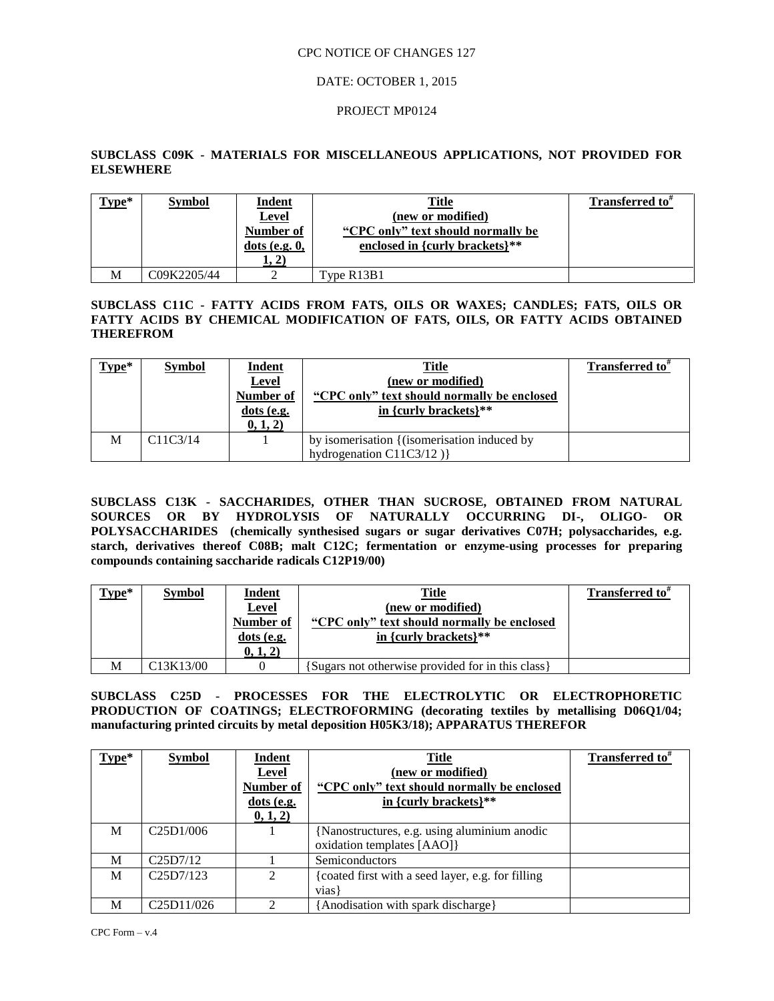## DATE: OCTOBER 1, 2015

### PROJECT MP0124

## **SUBCLASS C09K - MATERIALS FOR MISCELLANEOUS APPLICATIONS, NOT PROVIDED FOR ELSEWHERE**

| $Type*$ | <b>Symbol</b> | <b>Indent</b><br><u>Level</u><br>Number of<br>$dots$ (e.g. $0$ , | Title<br>(new or modified)<br>"CPC only" text should normally be<br>enclosed in {curly brackets}** | <b>Transferred to</b> " |
|---------|---------------|------------------------------------------------------------------|----------------------------------------------------------------------------------------------------|-------------------------|
|         |               | 1, 2)                                                            |                                                                                                    |                         |
| M       | C09K2205/44   |                                                                  | Type R13B1                                                                                         |                         |

**SUBCLASS C11C - FATTY ACIDS FROM FATS, OILS OR WAXES; CANDLES; FATS, OILS OR FATTY ACIDS BY CHEMICAL MODIFICATION OF FATS, OILS, OR FATTY ACIDS OBTAINED THEREFROM**

| $Type*$ | <b>Symbol</b>                      | <b>Indent</b>    | <b>Title</b>                                | <b>Transferred to</b> " |
|---------|------------------------------------|------------------|---------------------------------------------|-------------------------|
|         |                                    | Level            | (new or modified)                           |                         |
|         |                                    | <b>Number of</b> | "CPC only" text should normally be enclosed |                         |
|         |                                    | $dots$ (e.g.     | in {curly brackets} $**$                    |                         |
|         |                                    | 0, 1, 2)         |                                             |                         |
| M       | C <sub>11</sub> C <sub>3</sub> /14 |                  | by isomerisation {(isomerisation induced by |                         |
|         |                                    |                  | hydrogenation $C11C3/12$ )                  |                         |

**SUBCLASS C13K - SACCHARIDES, OTHER THAN SUCROSE, OBTAINED FROM NATURAL SOURCES OR BY HYDROLYSIS OF NATURALLY OCCURRING DI-, OLIGO- OR POLYSACCHARIDES (chemically synthesised sugars or sugar derivatives C07H; polysaccharides, e.g. starch, derivatives thereof C08B; malt C12C; fermentation or enzyme-using processes for preparing compounds containing saccharide radicals C12P19/00)**

| $Type*$ | <b>Symbol</b>                       | Indent       | Title                                             | Transferred to <sup>#</sup> |
|---------|-------------------------------------|--------------|---------------------------------------------------|-----------------------------|
|         |                                     | <b>Level</b> | (new or modified)                                 |                             |
|         |                                     | Number of    | "CPC only" text should normally be enclosed       |                             |
|         |                                     | dots (e.g.   | in {curly brackets} $**$                          |                             |
|         |                                     | 0, 1, 2)     |                                                   |                             |
| M       | C <sub>13</sub> K <sub>13</sub> /00 |              | {Sugars not otherwise provided for in this class} |                             |

**SUBCLASS C25D - PROCESSES FOR THE ELECTROLYTIC OR ELECTROPHORETIC**  PRODUCTION OF COATINGS; ELECTROFORMING (decorating textiles by metallising D06Q1/04; **manufacturing printed circuits by metal deposition H05K3/18); APPARATUS THEREFOR**

| Type* | <b>Symbol</b>                        | Indent<br><b>Level</b><br>Number of | <b>Title</b><br>(new or modified)<br>"CPC only" text should normally be enclosed | Transferred to <sup>*</sup> |
|-------|--------------------------------------|-------------------------------------|----------------------------------------------------------------------------------|-----------------------------|
|       |                                      | dots (e.g.<br>0, 1, 2)              | in {curly brackets}**                                                            |                             |
| M     | C <sub>25</sub> D <sub>1</sub> /006  |                                     | {Nanostructures, e.g. using aluminium anodic<br>oxidation templates [AAO]        |                             |
| M     | C25D7/12                             |                                     | Semiconductors                                                                   |                             |
| M     | C25D7/123                            | $\mathfrak{D}$                      | coated first with a seed layer, e.g. for filling<br>vias l                       |                             |
| M     | C <sub>25</sub> D <sub>11</sub> /026 | ↑                                   | [Anodisation with spark discharge]                                               |                             |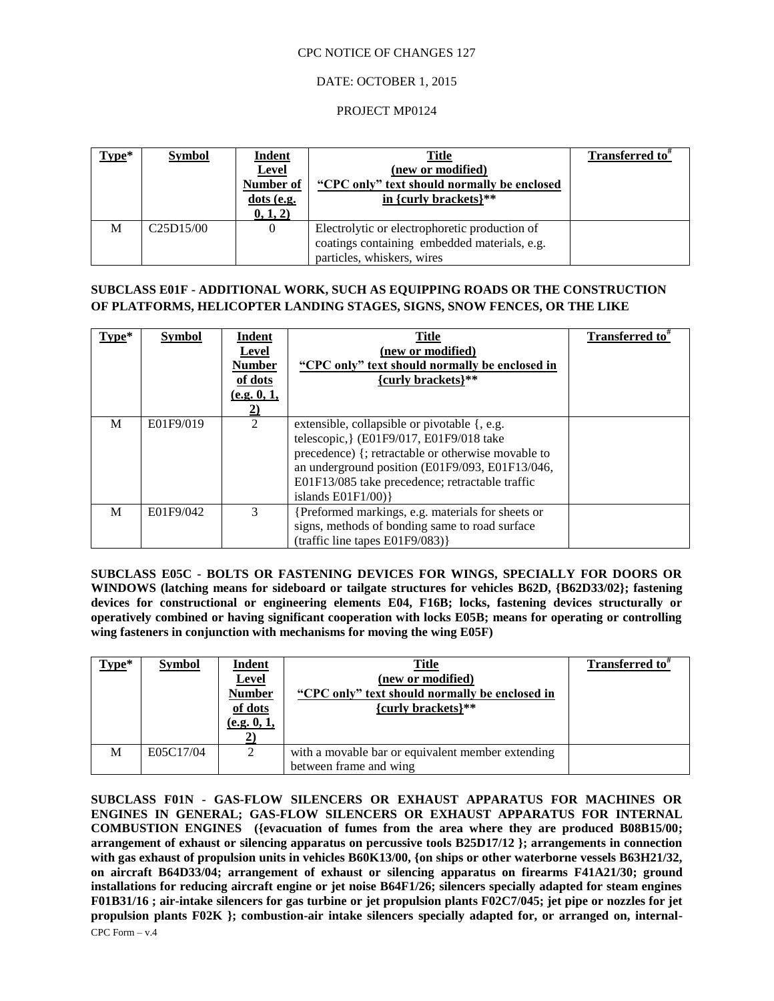## DATE: OCTOBER 1, 2015

### PROJECT MP0124

| Type* | <b>Symbol</b>                       | <b>Indent</b><br><b>Level</b><br>Number of<br>dots (e.g.<br>0, 1, 2) | <b>Title</b><br>(new or modified)<br>"CPC only" text should normally be enclosed<br>in {curly brackets}**                   | Transferred to <sup>#</sup> |
|-------|-------------------------------------|----------------------------------------------------------------------|-----------------------------------------------------------------------------------------------------------------------------|-----------------------------|
| M     | C <sub>25</sub> D <sub>15</sub> /00 |                                                                      | Electrolytic or electrophoretic production of<br>coatings containing embedded materials, e.g.<br>particles, whiskers, wires |                             |

# **SUBCLASS E01F - ADDITIONAL WORK, SUCH AS EQUIPPING ROADS OR THE CONSTRUCTION OF PLATFORMS, HELICOPTER LANDING STAGES, SIGNS, SNOW FENCES, OR THE LIKE**

| Type* | <b>Symbol</b> | Indent<br>Level<br><b>Number</b><br>of dots<br>(e.g. 0, 1,<br>$\overline{2)}$ | <b>Title</b><br>(new or modified)<br>"CPC only" text should normally be enclosed in<br>{curly brackets}**                                                                                                                                                                    | Transferred to" |
|-------|---------------|-------------------------------------------------------------------------------|------------------------------------------------------------------------------------------------------------------------------------------------------------------------------------------------------------------------------------------------------------------------------|-----------------|
| M     | E01F9/019     | 2                                                                             | extensible, collapsible or pivotable {, e.g.<br>telescopic, } (E01F9/017, E01F9/018 take<br>precedence) {; retractable or otherwise movable to<br>an underground position (E01F9/093, E01F13/046,<br>E01F13/085 take precedence; retractable traffic<br>islands $E01F1/00$ } |                 |
| M     | E01F9/042     | 3                                                                             | {Preformed markings, e.g. materials for sheets or<br>signs, methods of bonding same to road surface<br>(traffic line tapes E01F9/083)}                                                                                                                                       |                 |

**SUBCLASS E05C - BOLTS OR FASTENING DEVICES FOR WINGS, SPECIALLY FOR DOORS OR WINDOWS (latching means for sideboard or tailgate structures for vehicles B62D, {B62D33/02}; fastening devices for constructional or engineering elements E04, F16B; locks, fastening devices structurally or operatively combined or having significant cooperation with locks E05B; means for operating or controlling wing fasteners in conjunction with mechanisms for moving the wing E05F)**

| $Type*$ | <b>Symbol</b> | <b>Indent</b><br><b>Level</b><br><b>Number</b><br>of dots<br>(e.g. 0, 1, | <b>Title</b><br>(new or modified)<br>"CPC only" text should normally be enclosed in<br>{curly brackets}** | Transferred to <sup>#</sup> |
|---------|---------------|--------------------------------------------------------------------------|-----------------------------------------------------------------------------------------------------------|-----------------------------|
| M       | E05C17/04     |                                                                          | with a movable bar or equivalent member extending                                                         |                             |
|         |               |                                                                          | between frame and wing                                                                                    |                             |

CPC Form – v.4 **SUBCLASS F01N - GAS-FLOW SILENCERS OR EXHAUST APPARATUS FOR MACHINES OR ENGINES IN GENERAL; GAS-FLOW SILENCERS OR EXHAUST APPARATUS FOR INTERNAL COMBUSTION ENGINES ({evacuation of fumes from the area where they are produced B08B15/00; arrangement of exhaust or silencing apparatus on percussive tools B25D17/12 }; arrangements in connection**  with gas exhaust of propulsion units in vehicles B60K13/00, {on ships or other waterborne vessels B63H21/32, **on aircraft B64D33/04; arrangement of exhaust or silencing apparatus on firearms F41A21/30; ground installations for reducing aircraft engine or jet noise B64F1/26; silencers specially adapted for steam engines F01B31/16 ; air-intake silencers for gas turbine or jet propulsion plants F02C7/045; jet pipe or nozzles for jet propulsion plants F02K }; combustion-air intake silencers specially adapted for, or arranged on, internal-**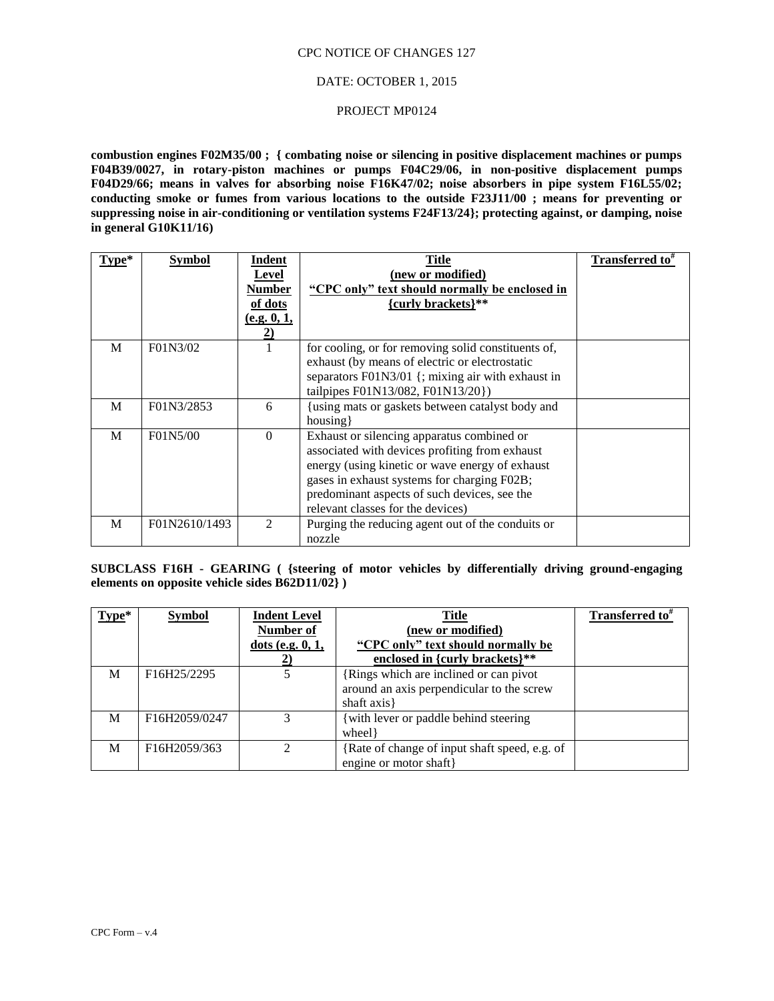### DATE: OCTOBER 1, 2015

#### PROJECT MP0124

**combustion engines F02M35/00 ; { combating noise or silencing in positive displacement machines or pumps F04B39/0027, in rotary-piston machines or pumps F04C29/06, in non-positive displacement pumps F04D29/66; means in valves for absorbing noise F16K47/02; noise absorbers in pipe system F16L55/02; conducting smoke or fumes from various locations to the outside F23J11/00 ; means for preventing or suppressing noise in air-conditioning or ventilation systems F24F13/24}; protecting against, or damping, noise in general G10K11/16)**

| $Type*$ | <b>Symbol</b> | Indent<br>Level<br>Number<br>of dots<br>(e.g. 0, 1,<br>2) | Title<br>(new or modified)<br>"CPC only" text should normally be enclosed in<br>{curly brackets}**                                                                                                                                                                                  | <b>Transferred to</b> # |
|---------|---------------|-----------------------------------------------------------|-------------------------------------------------------------------------------------------------------------------------------------------------------------------------------------------------------------------------------------------------------------------------------------|-------------------------|
| M       | F01N3/02      |                                                           | for cooling, or for removing solid constituents of,<br>exhaust (by means of electric or electrostatic<br>separators F01N3/01 {; mixing air with exhaust in<br>tailpipes F01N13/082, F01N13/20})                                                                                     |                         |
| M       | F01N3/2853    | 6                                                         | {using mats or gaskets between catalyst body and<br>housing                                                                                                                                                                                                                         |                         |
| M       | F01N5/00      | $\Omega$                                                  | Exhaust or silencing apparatus combined or<br>associated with devices profiting from exhaust<br>energy (using kinetic or wave energy of exhaust<br>gases in exhaust systems for charging F02B;<br>predominant aspects of such devices, see the<br>relevant classes for the devices) |                         |
| M       | F01N2610/1493 | 2                                                         | Purging the reducing agent out of the conduits or<br>nozzle                                                                                                                                                                                                                         |                         |

**SUBCLASS F16H - GEARING ( {steering of motor vehicles by differentially driving ground-engaging elements on opposite vehicle sides B62D11/02} )**

| $Type*$ | <b>Symbol</b> | <b>Indent Level</b> | <b>Title</b>                                  | Transferred to <sup>#</sup> |
|---------|---------------|---------------------|-----------------------------------------------|-----------------------------|
|         |               | Number of           | (new or modified)                             |                             |
|         |               | dots (e.g. $0, 1$ , | "CPC only" text should normally be            |                             |
|         |               | 2)                  | enclosed in {curly brackets}**                |                             |
| M       | F16H25/2295   | 5                   | {Rings which are inclined or can pivot        |                             |
|         |               |                     | around an axis perpendicular to the screw     |                             |
|         |               |                     | shaft axis }                                  |                             |
| M       | F16H2059/0247 | 3                   | {with lever or paddle behind steering         |                             |
|         |               |                     | wheel }                                       |                             |
| М       | F16H2059/363  | $\overline{2}$      | {Rate of change of input shaft speed, e.g. of |                             |
|         |               |                     | engine or motor shaft}                        |                             |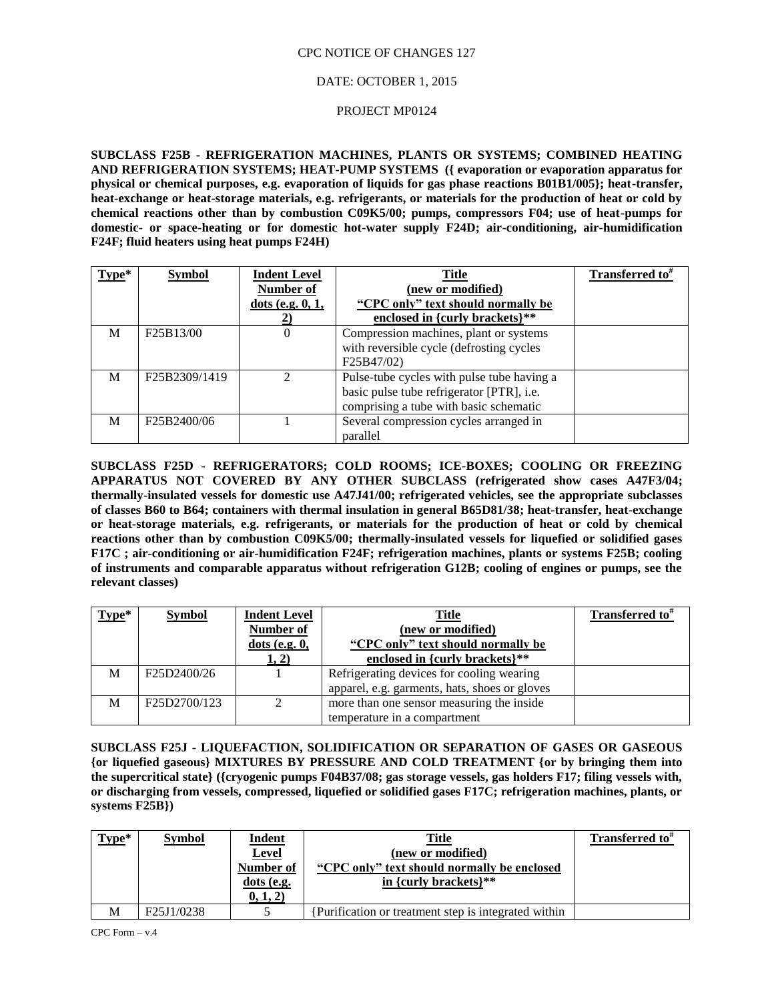## DATE: OCTOBER 1, 2015

### PROJECT MP0124

**SUBCLASS F25B - REFRIGERATION MACHINES, PLANTS OR SYSTEMS; COMBINED HEATING AND REFRIGERATION SYSTEMS; HEAT-PUMP SYSTEMS ({ evaporation or evaporation apparatus for physical or chemical purposes, e.g. evaporation of liquids for gas phase reactions B01B1/005}; heat-transfer, heat-exchange or heat-storage materials, e.g. refrigerants, or materials for the production of heat or cold by chemical reactions other than by combustion C09K5/00; pumps, compressors F04; use of heat-pumps for domestic- or space-heating or for domestic hot-water supply F24D; air-conditioning, air-humidification F24F; fluid heaters using heat pumps F24H)**

| Type* | <b>Symbol</b>                           | <b>Indent Level</b><br>Number of<br>dots (e.g. $0, 1$ ,<br>2) | <b>Title</b><br>(new or modified)<br>"CPC only" text should normally be<br>enclosed in {curly brackets}**                         | <b>Transferred to</b> <sup>#</sup> |
|-------|-----------------------------------------|---------------------------------------------------------------|-----------------------------------------------------------------------------------------------------------------------------------|------------------------------------|
| M     | F25B13/00                               | $\overline{0}$                                                | Compression machines, plant or systems<br>with reversible cycle (defrosting cycles<br>F25B47/02)                                  |                                    |
| M     | F <sub>25</sub> B <sub>2309</sub> /1419 | $\mathfrak{D}$                                                | Pulse-tube cycles with pulse tube having a<br>basic pulse tube refrigerator [PTR], i.e.<br>comprising a tube with basic schematic |                                    |
| M     | F25B2400/06                             |                                                               | Several compression cycles arranged in<br>parallel                                                                                |                                    |

**SUBCLASS F25D - REFRIGERATORS; COLD ROOMS; ICE-BOXES; COOLING OR FREEZING APPARATUS NOT COVERED BY ANY OTHER SUBCLASS (refrigerated show cases A47F3/04; thermally-insulated vessels for domestic use A47J41/00; refrigerated vehicles, see the appropriate subclasses of classes B60 to B64; containers with thermal insulation in general B65D81/38; heat-transfer, heat-exchange or heat-storage materials, e.g. refrigerants, or materials for the production of heat or cold by chemical reactions other than by combustion C09K5/00; thermally-insulated vessels for liquefied or solidified gases F17C ; air-conditioning or air-humidification F24F; refrigeration machines, plants or systems F25B; cooling of instruments and comparable apparatus without refrigeration G12B; cooling of engines or pumps, see the relevant classes)**

| $Type*$ | <b>Symbol</b> | <b>Indent Level</b><br>Number of<br>$dots$ (e.g. $0$ , | <b>Title</b><br>(new or modified)<br>"CPC only" text should normally be | Transferred to <sup>*</sup> |
|---------|---------------|--------------------------------------------------------|-------------------------------------------------------------------------|-----------------------------|
|         |               | 1, 2)                                                  | enclosed in {curly brackets}**                                          |                             |
| M       | F25D2400/26   |                                                        | Refrigerating devices for cooling wearing                               |                             |
|         |               |                                                        | apparel, e.g. garments, hats, shoes or gloves                           |                             |
| M       | F25D2700/123  |                                                        | more than one sensor measuring the inside                               |                             |
|         |               |                                                        | temperature in a compartment                                            |                             |

**SUBCLASS F25J - LIQUEFACTION, SOLIDIFICATION OR SEPARATION OF GASES OR GASEOUS {or liquefied gaseous} MIXTURES BY PRESSURE AND COLD TREATMENT {or by bringing them into the supercritical state} ({cryogenic pumps F04B37/08; gas storage vessels, gas holders F17; filing vessels with, or discharging from vessels, compressed, liquefied or solidified gases F17C; refrigeration machines, plants, or systems F25B})**

| $Type*$ | <b>Symbol</b> | <b>Indent</b><br><b>Level</b><br>Number of<br>$dots$ (e.g.<br>0, 1, 2) | Title<br>(new or modified)<br>"CPC only" text should normally be enclosed<br>in {curly brackets} $**$ | <b>Transferred to</b> " |
|---------|---------------|------------------------------------------------------------------------|-------------------------------------------------------------------------------------------------------|-------------------------|
| M       | F25J1/0238    |                                                                        | Purification or treatment step is integrated within                                                   |                         |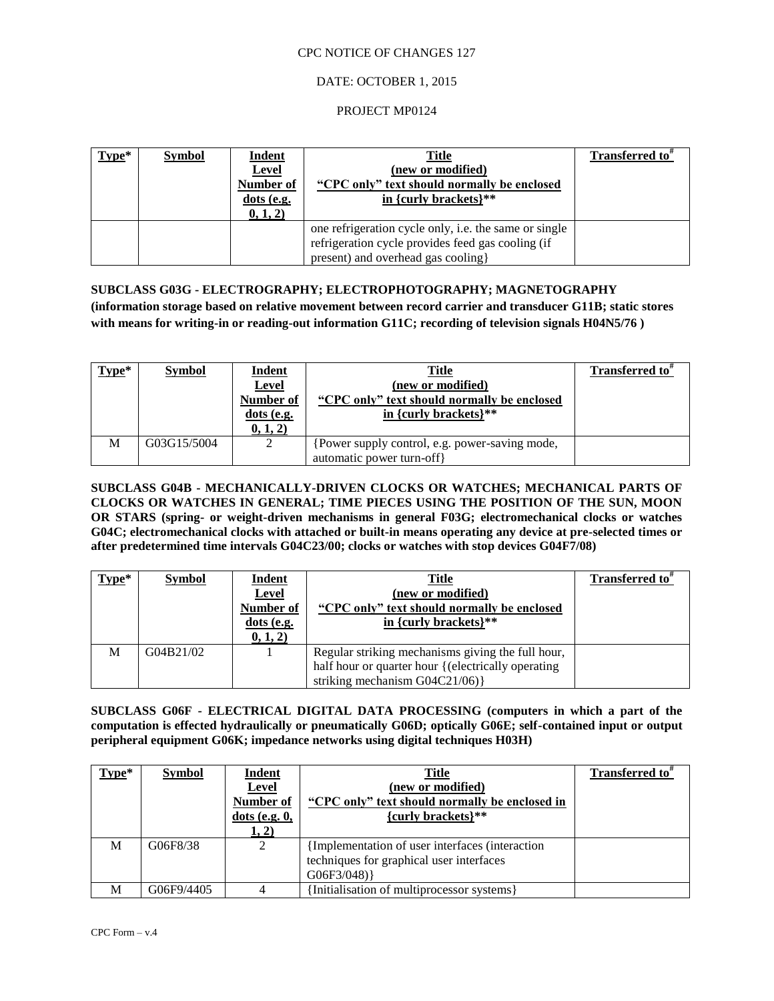## DATE: OCTOBER 1, 2015

### PROJECT MP0124

| $Type*$ | <b>Symbol</b> | <b>Indent</b><br><b>Level</b><br>Number of<br>$dots$ (e.g.<br>0, 1, 2) | <b>Title</b><br>(new or modified)<br>"CPC only" text should normally be enclosed<br>in {curly brackets}**                                               | <b>Transferred to</b> " |
|---------|---------------|------------------------------------------------------------------------|---------------------------------------------------------------------------------------------------------------------------------------------------------|-------------------------|
|         |               |                                                                        | one refrigeration cycle only, <i>i.e.</i> the same or single<br>refrigeration cycle provides feed gas cooling (if<br>present) and overhead gas cooling} |                         |

**SUBCLASS G03G - ELECTROGRAPHY; ELECTROPHOTOGRAPHY; MAGNETOGRAPHY (information storage based on relative movement between record carrier and transducer G11B; static stores with means for writing-in or reading-out information G11C; recording of television signals H04N5/76 )**

| $Type*$ | <b>Symbol</b> | <b>Indent</b><br><u>Level</u><br>Number of<br>$dots$ (e.g.<br>0, 1, 2) | <b>Title</b><br>(new or modified)<br>"CPC only" text should normally be enclosed<br>in {curly brackets} $**$ | Transferred to" |
|---------|---------------|------------------------------------------------------------------------|--------------------------------------------------------------------------------------------------------------|-----------------|
| M       | G03G15/5004   |                                                                        | Power supply control, e.g. power-saving mode,<br>automatic power turn-off                                    |                 |

**SUBCLASS G04B - MECHANICALLY-DRIVEN CLOCKS OR WATCHES; MECHANICAL PARTS OF CLOCKS OR WATCHES IN GENERAL; TIME PIECES USING THE POSITION OF THE SUN, MOON OR STARS (spring- or weight-driven mechanisms in general F03G; electromechanical clocks or watches G04C; electromechanical clocks with attached or built-in means operating any device at pre-selected times or after predetermined time intervals G04C23/00; clocks or watches with stop devices G04F7/08)**

| $Type*$ | <b>Symbol</b> | <b>Indent</b><br>Level<br>Number of<br>$dots$ (e.g.<br>(0, 1, 2) | Title<br>(new or modified)<br>"CPC only" text should normally be enclosed<br>in {curly brackets}**                                           | Transferred to <sup>*</sup> |
|---------|---------------|------------------------------------------------------------------|----------------------------------------------------------------------------------------------------------------------------------------------|-----------------------------|
| М       | G04B21/02     |                                                                  | Regular striking mechanisms giving the full hour,<br>half hour or quarter hour { (electrically operating<br>striking mechanism $G04C21/06$ } |                             |

**SUBCLASS G06F - ELECTRICAL DIGITAL DATA PROCESSING (computers in which a part of the computation is effected hydraulically or pneumatically G06D; optically G06E; self-contained input or output peripheral equipment G06K; impedance networks using digital techniques H03H)**

| $Type*$ | <b>Symbol</b> | <b>Indent</b><br><b>Level</b><br>Number of<br>$dots$ (e.g. $0$ ,<br>1, 2) | Title<br>(new or modified)<br>"CPC only" text should normally be enclosed in<br>${curly$ brackets}**      | Transferred to <sup>#</sup> |
|---------|---------------|---------------------------------------------------------------------------|-----------------------------------------------------------------------------------------------------------|-----------------------------|
| M       | G06F8/38      |                                                                           | {Implementation of user interfaces (interaction<br>techniques for graphical user interfaces<br>G06F3/048) |                             |
| M       | G06F9/4405    |                                                                           | {Initialisation of multiprocessor systems}                                                                |                             |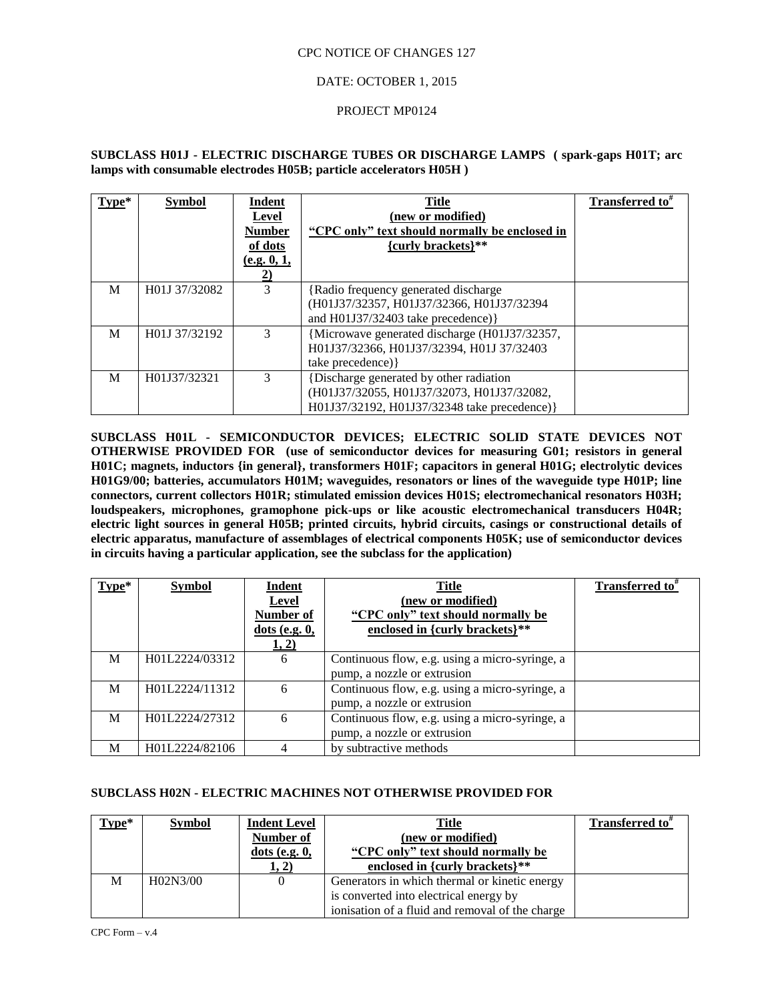## DATE: OCTOBER 1, 2015

### PROJECT MP0124

## **SUBCLASS H01J - ELECTRIC DISCHARGE TUBES OR DISCHARGE LAMPS ( spark-gaps H01T; arc lamps with consumable electrodes H05B; particle accelerators H05H )**

| $Type*$ | <b>Symbol</b> | Indent<br>Level<br><b>Number</b><br>of dots<br>(e.g. 0, 1,<br><u>2)</u> | <b>Title</b><br>(new or modified)<br>"CPC only" text should normally be enclosed in<br>{curly brackets}**                              | Transferred to <sup>#</sup> |
|---------|---------------|-------------------------------------------------------------------------|----------------------------------------------------------------------------------------------------------------------------------------|-----------------------------|
| M       | H01J 37/32082 | 3                                                                       | {Radio frequency generated discharge}<br>(H01J37/32357, H01J37/32366, H01J37/32394<br>and $H01J37/32403$ take precedence) }            |                             |
| M       | H01J 37/32192 | 3                                                                       | {Microwave generated discharge (H01J37/32357,<br>H01J37/32366, H01J37/32394, H01J 37/32403<br>take precedence) }                       |                             |
| M       | H01J37/32321  | 3                                                                       | {Discharge generated by other radiation<br>(H01J37/32055, H01J37/32073, H01J37/32082,<br>H01J37/32192, H01J37/32348 take precedence) } |                             |

**SUBCLASS H01L - SEMICONDUCTOR DEVICES; ELECTRIC SOLID STATE DEVICES NOT OTHERWISE PROVIDED FOR (use of semiconductor devices for measuring G01; resistors in general H01C; magnets, inductors {in general}, transformers H01F; capacitors in general H01G; electrolytic devices H01G9/00; batteries, accumulators H01M; waveguides, resonators or lines of the waveguide type H01P; line connectors, current collectors H01R; stimulated emission devices H01S; electromechanical resonators H03H; loudspeakers, microphones, gramophone pick-ups or like acoustic electromechanical transducers H04R; electric light sources in general H05B; printed circuits, hybrid circuits, casings or constructional details of electric apparatus, manufacture of assemblages of electrical components H05K; use of semiconductor devices in circuits having a particular application, see the subclass for the application)**

| $Type*$ | <b>Symbol</b>  | Indent<br><b>Level</b><br>Number of<br>$dots$ (e.g. $0$ ,<br>1, 2) | <b>Title</b><br>(new or modified)<br>"CPC only" text should normally be<br>enclosed in {curly brackets}** | Transferred to <sup>*</sup> |
|---------|----------------|--------------------------------------------------------------------|-----------------------------------------------------------------------------------------------------------|-----------------------------|
| M       | H01L2224/03312 | 6                                                                  | Continuous flow, e.g. using a micro-syringe, a<br>pump, a nozzle or extrusion                             |                             |
| M       | H01L2224/11312 | 6                                                                  | Continuous flow, e.g. using a micro-syringe, a<br>pump, a nozzle or extrusion                             |                             |
| M       | H01L2224/27312 | 6                                                                  | Continuous flow, e.g. using a micro-syringe, a<br>pump, a nozzle or extrusion                             |                             |
| M       | H01L2224/82106 |                                                                    | by subtractive methods                                                                                    |                             |

## **SUBCLASS H02N - ELECTRIC MACHINES NOT OTHERWISE PROVIDED FOR**

| $Type*$ | <b>Symbol</b> | <b>Indent Level</b><br><b>Number of</b><br>$dots$ (e.g. $0$ , | <b>Title</b><br>(new or modified)<br>"CPC only" text should normally be | <b>Transferred to</b> " |
|---------|---------------|---------------------------------------------------------------|-------------------------------------------------------------------------|-------------------------|
|         |               | 1, 2)                                                         | enclosed in {curly brackets}**                                          |                         |
| M       | H02N3/00      | $\left($                                                      | Generators in which thermal or kinetic energy                           |                         |
|         |               |                                                               | is converted into electrical energy by                                  |                         |
|         |               |                                                               | ionisation of a fluid and removal of the charge                         |                         |